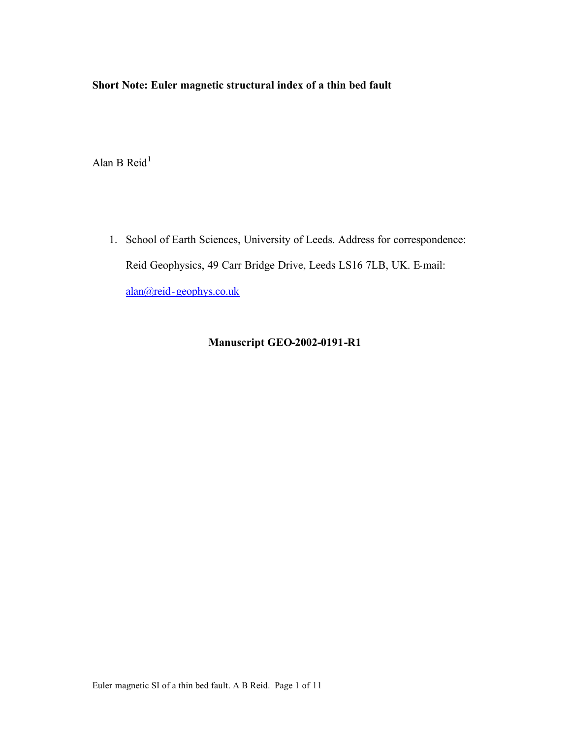# **Short Note: Euler magnetic structural index of a thin bed fault**

Alan B Reid $<sup>1</sup>$ </sup>

1. School of Earth Sciences, University of Leeds. Address for correspondence: Reid Geophysics, 49 Carr Bridge Drive, Leeds LS16 7LB, UK. E-mail: alan@reid-geophys.co.uk

# **Manuscript GEO-2002-0191-R1**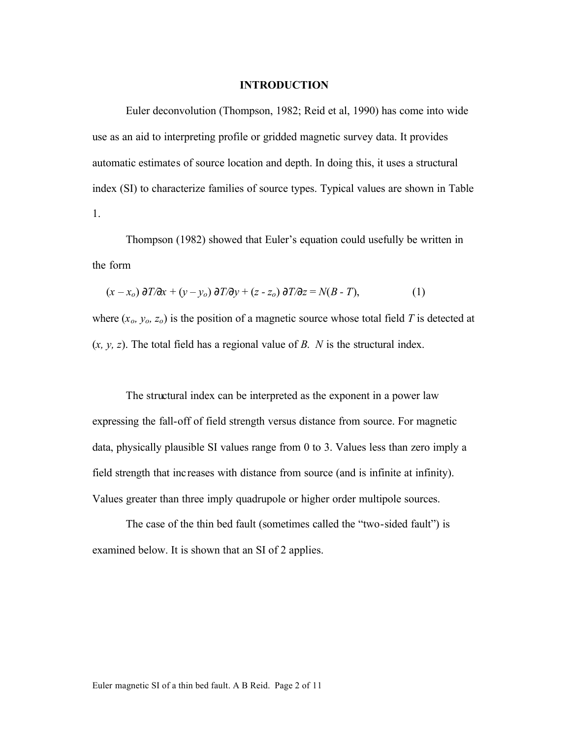#### **INTRODUCTION**

Euler deconvolution (Thompson, 1982; Reid et al, 1990) has come into wide use as an aid to interpreting profile or gridded magnetic survey data. It provides automatic estimates of source location and depth. In doing this, it uses a structural index (SI) to characterize families of source types. Typical values are shown in Table 1.

Thompson (1982) showed that Euler's equation could usefully be written in the form

$$
(x - xo) \frac{\partial T}{\partial x} + (y - yo) \frac{\partial T}{\partial y} + (z - zo) \frac{\partial T}{\partial z} = N(B - T),
$$
 (1)

where  $(x_o, y_o, z_o)$  is the position of a magnetic source whose total field *T* is detected at (*x, y, z*). The total field has a regional value of *B*. *N* is the structural index.

The structural index can be interpreted as the exponent in a power law expressing the fall-off of field strength versus distance from source. For magnetic data, physically plausible SI values range from 0 to 3. Values less than zero imply a field strength that inc reases with distance from source (and is infinite at infinity). Values greater than three imply quadrupole or higher order multipole sources.

The case of the thin bed fault (sometimes called the "two-sided fault") is examined below. It is shown that an SI of 2 applies.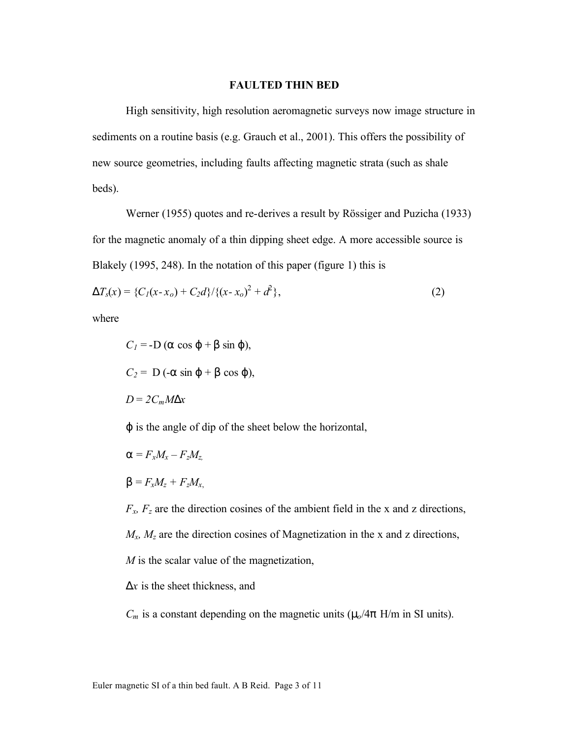#### **FAULTED THIN BED**

High sensitivity, high resolution aeromagnetic surveys now image structure in sediments on a routine basis (e.g. Grauch et al., 2001). This offers the possibility of new source geometries, including faults affecting magnetic strata (such as shale beds).

Werner (1955) quotes and re-derives a result by Rössiger and Puzicha (1933) for the magnetic anomaly of a thin dipping sheet edge. A more accessible source is Blakely (1995, 248). In the notation of this paper (figure 1) this is

$$
\mathbf{D}T_{s}(x) = \{C_{1}(x-x_{o}) + C_{2}d\}/\{(x-x_{o})^{2} + d^{2}\},\tag{2}
$$

where

$$
C_1 = -D (a cos j + b sin j),
$$
  
\n
$$
C_2 = D (-a sin j + b cos j),
$$
  
\n
$$
D = 2C_m M Dx
$$

*j* is the angle of dip of the sheet below the horizontal,

$$
\mathbf{a} = F_x M_x - F_z M_z,
$$
  

$$
\mathbf{b} = F_x M_z + F_z M_x,
$$

 $F_x$ ,  $F_z$  are the direction cosines of the ambient field in the x and z directions, *Mx, Mz* are the direction cosines of Magnetization in the x and z directions, *M* is the scalar value of the magnetization,

*Dx* is the sheet thickness, and

 $C_m$  is a constant depending on the magnetic units ( $m/4p$  H/m in SI units).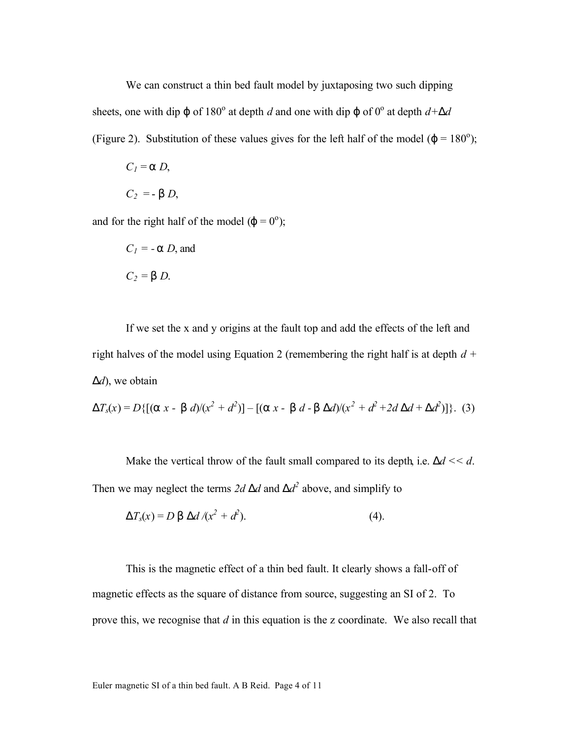We can construct a thin bed fault model by juxtaposing two such dipping sheets, one with dip *j* of 180<sup>°</sup> at depth *d* and one with dip *j* of 0<sup>°</sup> at depth  $d+Dd$ (Figure 2). Substitution of these values gives for the left half of the model  $(j = 180^{\circ})$ ;

$$
Cl = a D,
$$
  

$$
C2 = - b D,
$$

and for the right half of the model  $(j = 0)$ <sup>o</sup>);

$$
C_1 = -a D, \text{ and}
$$

$$
C_2 = b D.
$$

If we set the x and y origins at the fault top and add the effects of the left and right halves of the model using Equation 2 (remembering the right half is at depth 
$$
d + Dd
$$
), we obtain

$$
\mathbf{D}T_{s}(x) = D\{[(\mathbf{a} x - \mathbf{b} d)/(x^{2} + d^{2})] - [(\mathbf{a} x - \mathbf{b} d - \mathbf{b} Dd)/(x^{2} + d^{2} + 2d Dd + Dd^{2})]\}. (3)
$$

Make the vertical throw of the fault small compared to its depth, i.e.  $\mathbf{D}d \lt \lt d$ . Then we may neglect the terms 2*d Dd* and  $Dd^2$  above, and simplify to

$$
DT_{s}(x) = D b Dd / (x^{2} + d^{2}).
$$
 (4).

This is the magnetic effect of a thin bed fault. It clearly shows a fall-off of magnetic effects as the square of distance from source, suggesting an SI of 2. To prove this, we recognise that *d* in this equation is the z coordinate. We also recall that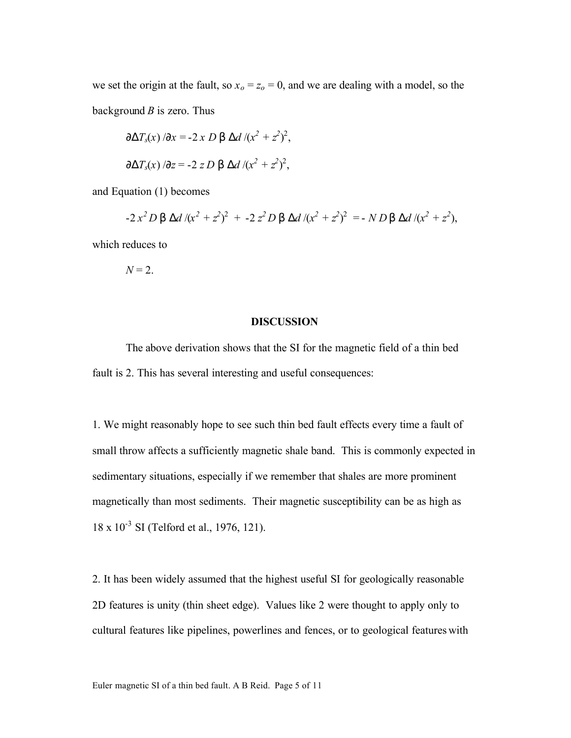we set the origin at the fault, so  $x<sub>o</sub> = z<sub>o</sub> = 0$ , and we are dealing with a model, so the background *B* is zero. Thus

$$
\frac{\partial \mathbf{D} T_s(x)}{\partial \mathbf{x}} = -2 \times D \mathbf{b} \mathbf{D} d / (x^2 + z^2)^2,
$$
  

$$
\frac{\partial \mathbf{D} T_s(x)}{\partial \mathbf{z}} = -2 \times D \mathbf{b} \mathbf{D} d / (x^2 + z^2)^2,
$$

and Equation (1) becomes

$$
-2x^2 D \mathbf{b} \mathbf{D}d / (x^2 + z^2)^2 + -2 z^2 D \mathbf{b} \mathbf{D}d / (x^2 + z^2)^2 = -ND \mathbf{b} \mathbf{D}d / (x^2 + z^2),
$$

which reduces to

$$
N=2.
$$

#### **DISCUSSION**

The above derivation shows that the SI for the magnetic field of a thin bed fault is 2. This has several interesting and useful consequences:

1. We might reasonably hope to see such thin bed fault effects every time a fault of small throw affects a sufficiently magnetic shale band. This is commonly expected in sedimentary situations, especially if we remember that shales are more prominent magnetically than most sediments. Their magnetic susceptibility can be as high as 18 x 10<sup>-3</sup> SI (Telford et al., 1976, 121).

2. It has been widely assumed that the highest useful SI for geologically reasonable 2D features is unity (thin sheet edge). Values like 2 were thought to apply only to cultural features like pipelines, powerlines and fences, or to geological features with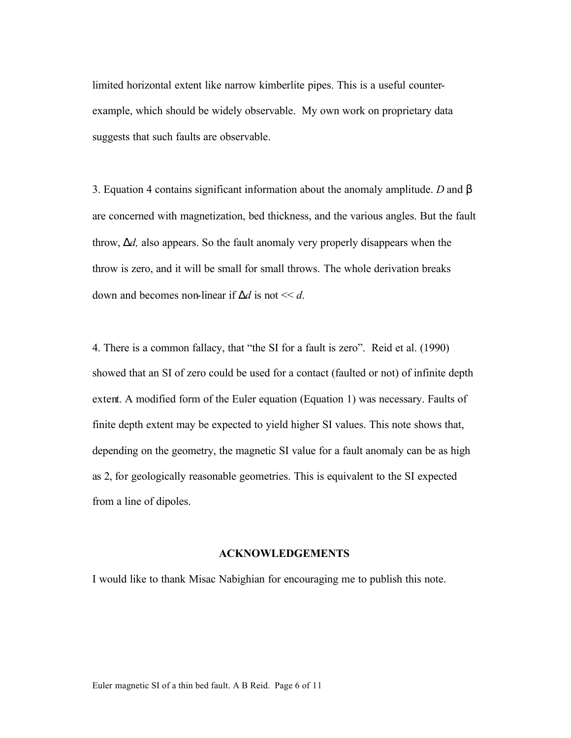limited horizontal extent like narrow kimberlite pipes. This is a useful counterexample, which should be widely observable. My own work on proprietary data suggests that such faults are observable.

3. Equation 4 contains significant information about the anomaly amplitude. *D* and *b* are concerned with magnetization, bed thickness, and the various angles. But the fault throw, *Dd,* also appears. So the fault anomaly very properly disappears when the throw is zero, and it will be small for small throws. The whole derivation breaks down and becomes non-linear if  $\mathbf{D}d$  is not  $\leq d$ .

4. There is a common fallacy, that "the SI for a fault is zero". Reid et al. (1990) showed that an SI of zero could be used for a contact (faulted or not) of infinite depth extent. A modified form of the Euler equation (Equation 1) was necessary. Faults of finite depth extent may be expected to yield higher SI values. This note shows that, depending on the geometry, the magnetic SI value for a fault anomaly can be as high as 2, for geologically reasonable geometries. This is equivalent to the SI expected from a line of dipoles.

### **ACKNOWLEDGEMENTS**

I would like to thank Misac Nabighian for encouraging me to publish this note.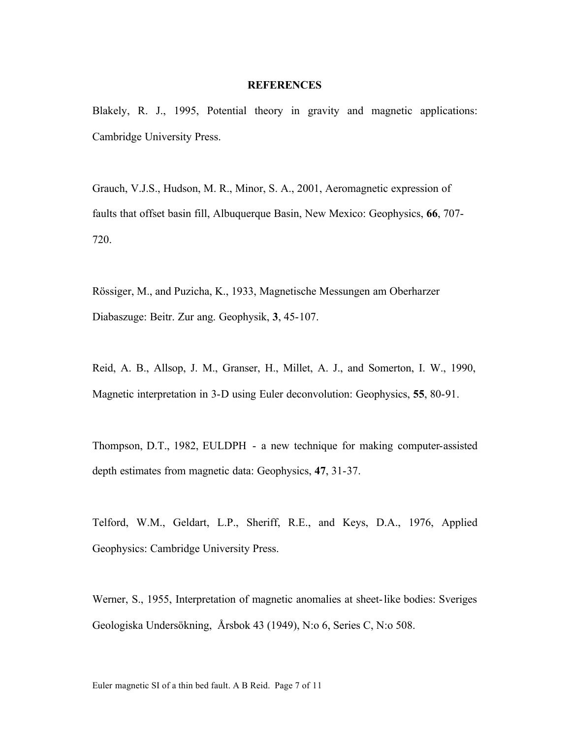#### **REFERENCES**

Blakely, R. J., 1995, Potential theory in gravity and magnetic applications: Cambridge University Press.

Grauch, V.J.S., Hudson, M. R., Minor, S. A., 2001, Aeromagnetic expression of faults that offset basin fill, Albuquerque Basin, New Mexico: Geophysics, **66**, 707- 720.

Rössiger, M., and Puzicha, K., 1933, Magnetische Messungen am Oberharzer Diabaszuge: Beitr. Zur ang. Geophysik, **3**, 45-107.

Reid, A. B., Allsop, J. M., Granser, H., Millet, A. J., and Somerton, I. W., 1990, Magnetic interpretation in 3-D using Euler deconvolution: Geophysics, **55**, 80-91.

Thompson, D.T., 1982, EULDPH - a new technique for making computer-assisted depth estimates from magnetic data: Geophysics, **47**, 31-37.

Telford, W.M., Geldart, L.P., Sheriff, R.E., and Keys, D.A., 1976, Applied Geophysics: Cambridge University Press.

Werner, S., 1955, Interpretation of magnetic anomalies at sheet-like bodies: Sveriges Geologiska Undersökning, Årsbok 43 (1949), N:o 6, Series C, N:o 508.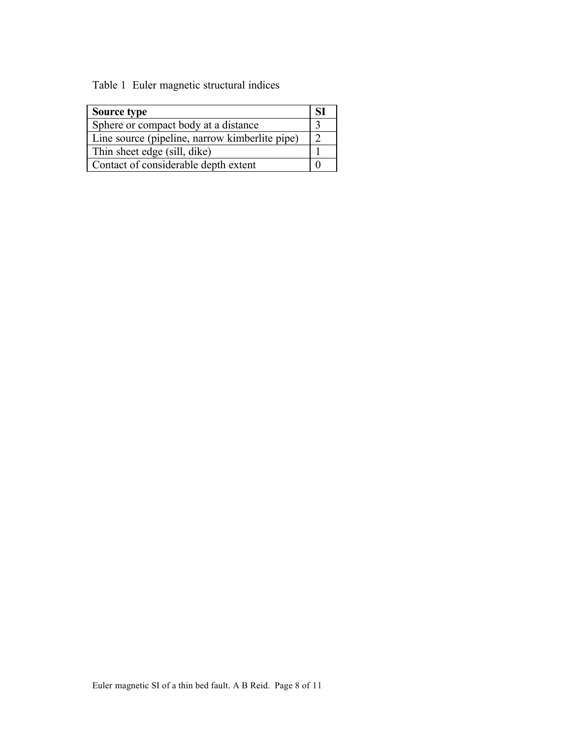Table 1 Euler magnetic structural indices

| Source type                                    | SI |
|------------------------------------------------|----|
| Sphere or compact body at a distance           |    |
| Line source (pipeline, narrow kimberlite pipe) |    |
| Thin sheet edge (sill, dike)                   |    |
| Contact of considerable depth extent           |    |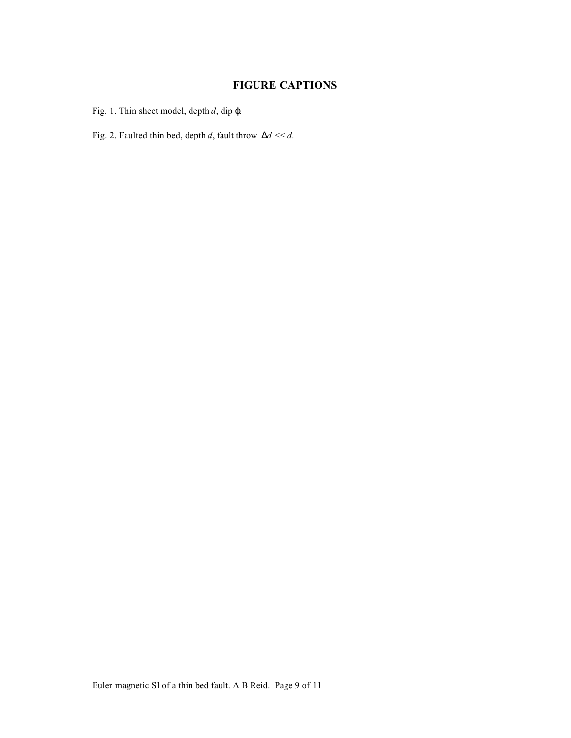## **FIGURE CAPTIONS**

Fig. 1. Thin sheet model, depth *d*, dip *j.*

Fig. 2. Faulted thin bed, depth *d*, fault throw *Dd* << *d.*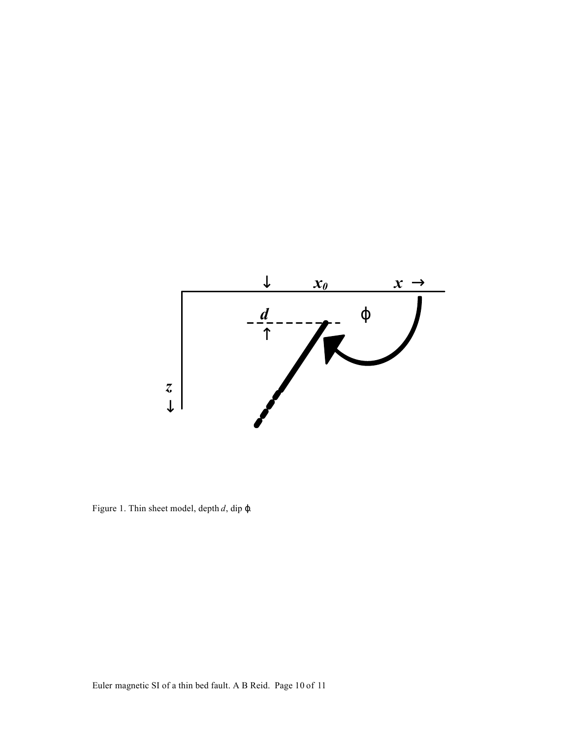

Figure 1. Thin sheet model, depth *d*, dip *j.*